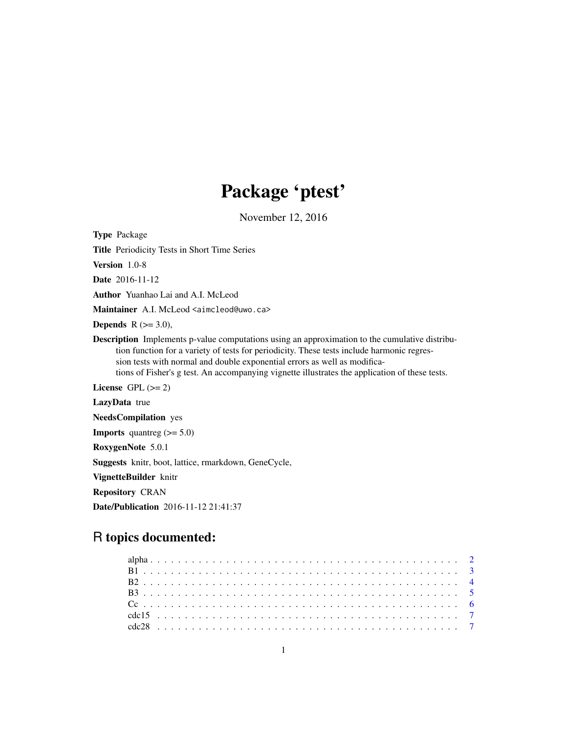# Package 'ptest'

November 12, 2016

Type Package

Title Periodicity Tests in Short Time Series

Version 1.0-8

Date 2016-11-12

Author Yuanhao Lai and A.I. McLeod

Maintainer A.I. McLeod <aimcleod@uwo.ca>

**Depends**  $R$  ( $>= 3.0$ ),

Description Implements p-value computations using an approximation to the cumulative distribution function for a variety of tests for periodicity. These tests include harmonic regression tests with normal and double exponential errors as well as modifications of Fisher's g test. An accompanying vignette illustrates the application of these tests.

License GPL  $(>= 2)$ 

LazyData true

NeedsCompilation yes

**Imports** quantreg  $(>= 5.0)$ 

RoxygenNote 5.0.1

Suggests knitr, boot, lattice, rmarkdown, GeneCycle,

VignetteBuilder knitr

Repository CRAN

Date/Publication 2016-11-12 21:41:37

# R topics documented: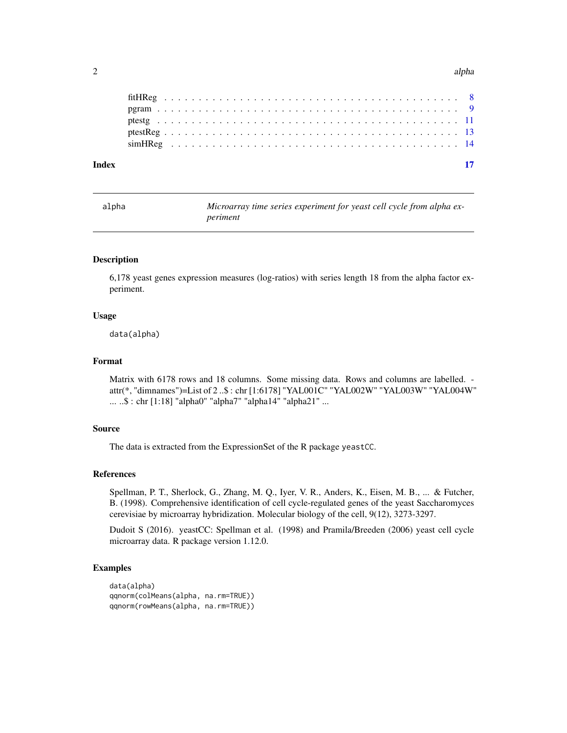#### <span id="page-1-0"></span> $2 \angle$

alpha *Microarray time series experiment for yeast cell cycle from alpha experiment*

# Description

6,178 yeast genes expression measures (log-ratios) with series length 18 from the alpha factor experiment.

# Usage

data(alpha)

# Format

Matrix with 6178 rows and 18 columns. Some missing data. Rows and columns are labelled. attr(\*, "dimnames")=List of 2 ..\$ : chr [1:6178] "YAL001C" "YAL002W" "YAL003W" "YAL004W" ... ..\$ : chr [1:18] "alpha0" "alpha7" "alpha14" "alpha21" ...

# Source

The data is extracted from the ExpressionSet of the R package yeastCC.

# References

Spellman, P. T., Sherlock, G., Zhang, M. Q., Iyer, V. R., Anders, K., Eisen, M. B., ... & Futcher, B. (1998). Comprehensive identification of cell cycle-regulated genes of the yeast Saccharomyces cerevisiae by microarray hybridization. Molecular biology of the cell, 9(12), 3273-3297.

Dudoit S (2016). yeastCC: Spellman et al. (1998) and Pramila/Breeden (2006) yeast cell cycle microarray data. R package version 1.12.0.

```
data(alpha)
qqnorm(colMeans(alpha, na.rm=TRUE))
qqnorm(rowMeans(alpha, na.rm=TRUE))
```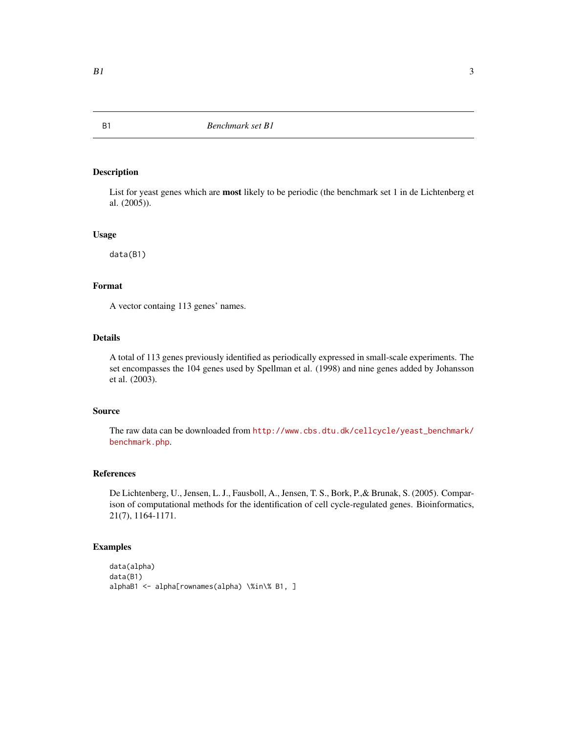List for yeast genes which are most likely to be periodic (the benchmark set 1 in de Lichtenberg et al. (2005)).

### Usage

data(B1)

# Format

A vector containg 113 genes' names.

# Details

A total of 113 genes previously identified as periodically expressed in small-scale experiments. The set encompasses the 104 genes used by Spellman et al. (1998) and nine genes added by Johansson et al. (2003).

# Source

The raw data can be downloaded from [http://www.cbs.dtu.dk/cellcycle/yeast\\_benchmark/](http://www.cbs.dtu.dk/cellcycle/yeast_benchmark/benchmark.php) [benchmark.php](http://www.cbs.dtu.dk/cellcycle/yeast_benchmark/benchmark.php).

# References

De Lichtenberg, U., Jensen, L. J., Fausboll, A., Jensen, T. S., Bork, P.,& Brunak, S. (2005). Comparison of computational methods for the identification of cell cycle-regulated genes. Bioinformatics, 21(7), 1164-1171.

#### Examples

```
data(alpha)
data(B1)
alphaB1 <- alpha[rownames(alpha) \%in\% B1, ]
```
<span id="page-2-0"></span>B1 *Benchmark set B1*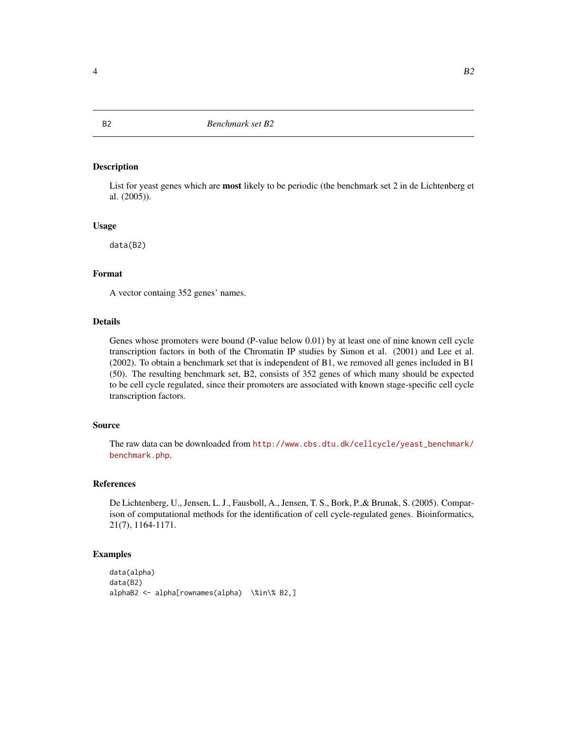List for yeast genes which are most likely to be periodic (the benchmark set 2 in de Lichtenberg et al. (2005)).

#### Usage

data(B2)

# Format

A vector containg 352 genes' names.

# Details

Genes whose promoters were bound (P-value below 0.01) by at least one of nine known cell cycle transcription factors in both of the Chromatin IP studies by Simon et al. (2001) and Lee et al. (2002). To obtain a benchmark set that is independent of B1, we removed all genes included in B1 (50). The resulting benchmark set, B2, consists of 352 genes of which many should be expected to be cell cycle regulated, since their promoters are associated with known stage-specific cell cycle transcription factors.

# Source

The raw data can be downloaded from [http://www.cbs.dtu.dk/cellcycle/yeast\\_benchmark/](http://www.cbs.dtu.dk/cellcycle/yeast_benchmark/benchmark.php) [benchmark.php](http://www.cbs.dtu.dk/cellcycle/yeast_benchmark/benchmark.php).

# References

De Lichtenberg, U., Jensen, L. J., Fausboll, A., Jensen, T. S., Bork, P.,& Brunak, S. (2005). Comparison of computational methods for the identification of cell cycle-regulated genes. Bioinformatics, 21(7), 1164-1171.

```
data(alpha)
data(B2)
alphaB2 <- alpha[rownames(alpha) \%in\% B2,]
```
<span id="page-3-0"></span>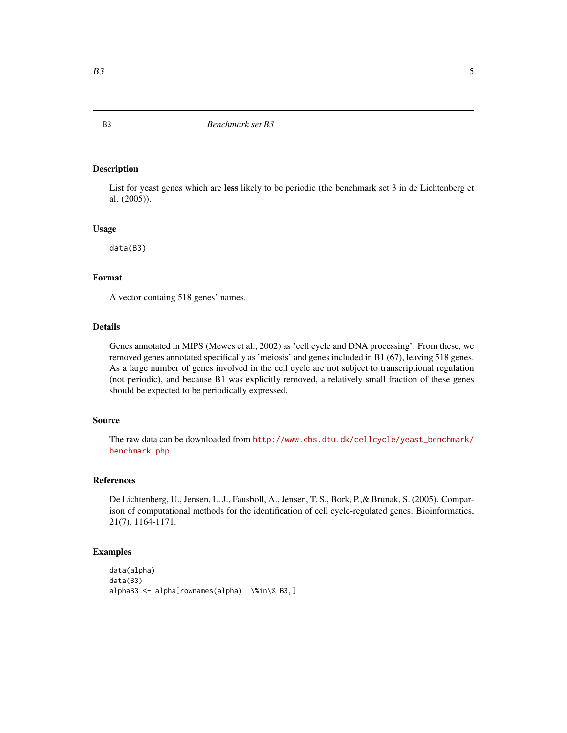List for yeast genes which are less likely to be periodic (the benchmark set 3 in de Lichtenberg et al. (2005)).

#### Usage

data(B3)

#### Format

A vector containg 518 genes' names.

#### Details

Genes annotated in MIPS (Mewes et al., 2002) as 'cell cycle and DNA processing'. From these, we removed genes annotated specifically as 'meiosis' and genes included in B1 (67), leaving 518 genes. As a large number of genes involved in the cell cycle are not subject to transcriptional regulation (not periodic), and because B1 was explicitly removed, a relatively small fraction of these genes should be expected to be periodically expressed.

#### Source

The raw data can be downloaded from [http://www.cbs.dtu.dk/cellcycle/yeast\\_benchmark/](http://www.cbs.dtu.dk/cellcycle/yeast_benchmark/benchmark.php) [benchmark.php](http://www.cbs.dtu.dk/cellcycle/yeast_benchmark/benchmark.php).

#### References

De Lichtenberg, U., Jensen, L. J., Fausboll, A., Jensen, T. S., Bork, P.,& Brunak, S. (2005). Comparison of computational methods for the identification of cell cycle-regulated genes. Bioinformatics, 21(7), 1164-1171.

```
data(alpha)
data(B3)
alphaB3 <- alpha[rownames(alpha) \%in\% B3,]
```
<span id="page-4-0"></span>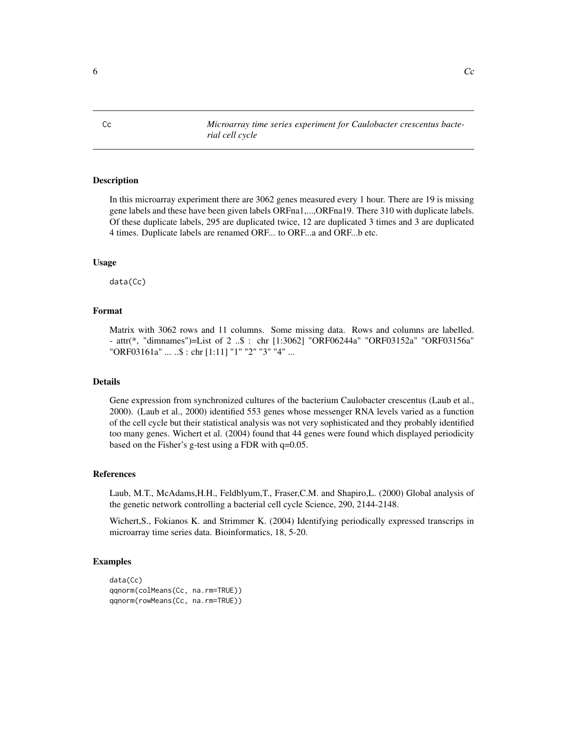<span id="page-5-0"></span>Cc *Microarray time series experiment for Caulobacter crescentus bacterial cell cycle*

#### Description

In this microarray experiment there are 3062 genes measured every 1 hour. There are 19 is missing gene labels and these have been given labels ORFna1,...,ORFna19. There 310 with duplicate labels. Of these duplicate labels, 295 are duplicated twice, 12 are duplicated 3 times and 3 are duplicated 4 times. Duplicate labels are renamed ORF... to ORF...a and ORF...b etc.

#### Usage

data(Cc)

# Format

Matrix with 3062 rows and 11 columns. Some missing data. Rows and columns are labelled. - attr(\*, "dimnames")=List of 2 ..\$ : chr [1:3062] "ORF06244a" "ORF03152a" "ORF03156a" "ORF03161a" ... ..\$ : chr [1:11] "1" "2" "3" "4" ...

# Details

Gene expression from synchronized cultures of the bacterium Caulobacter crescentus (Laub et al., 2000). (Laub et al., 2000) identified 553 genes whose messenger RNA levels varied as a function of the cell cycle but their statistical analysis was not very sophisticated and they probably identified too many genes. Wichert et al. (2004) found that 44 genes were found which displayed periodicity based on the Fisher's g-test using a FDR with  $q=0.05$ .

# References

Laub, M.T., McAdams,H.H., Feldblyum,T., Fraser,C.M. and Shapiro,L. (2000) Global analysis of the genetic network controlling a bacterial cell cycle Science, 290, 2144-2148.

Wichert,S., Fokianos K. and Strimmer K. (2004) Identifying periodically expressed transcrips in microarray time series data. Bioinformatics, 18, 5-20.

```
data(Cc)
qqnorm(colMeans(Cc, na.rm=TRUE))
qqnorm(rowMeans(Cc, na.rm=TRUE))
```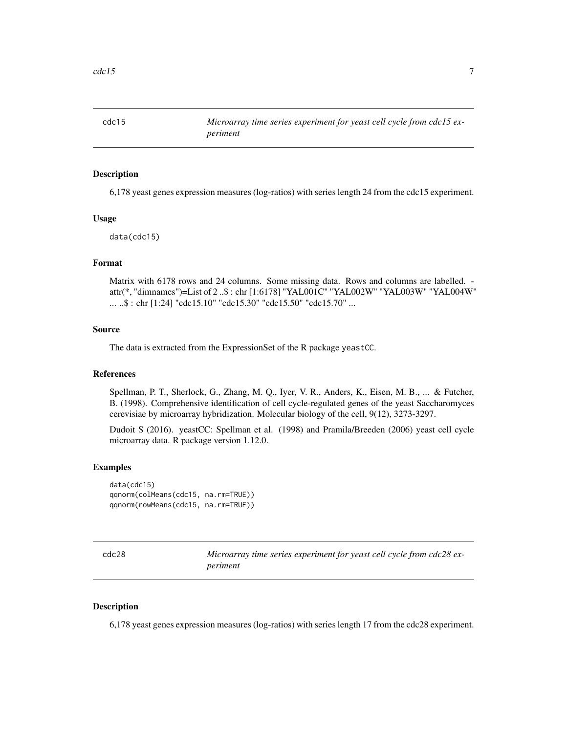<span id="page-6-0"></span>

6,178 yeast genes expression measures (log-ratios) with series length 24 from the cdc15 experiment.

#### Usage

data(cdc15)

### Format

Matrix with 6178 rows and 24 columns. Some missing data. Rows and columns are labelled. attr(\*, "dimnames")=List of 2 ..\$ : chr [1:6178] "YAL001C" "YAL002W" "YAL003W" "YAL004W" ... ..\$ : chr [1:24] "cdc15.10" "cdc15.30" "cdc15.50" "cdc15.70" ...

#### Source

The data is extracted from the ExpressionSet of the R package yeastCC.

#### References

Spellman, P. T., Sherlock, G., Zhang, M. Q., Iyer, V. R., Anders, K., Eisen, M. B., ... & Futcher, B. (1998). Comprehensive identification of cell cycle-regulated genes of the yeast Saccharomyces cerevisiae by microarray hybridization. Molecular biology of the cell, 9(12), 3273-3297.

Dudoit S (2016). yeastCC: Spellman et al. (1998) and Pramila/Breeden (2006) yeast cell cycle microarray data. R package version 1.12.0.

#### Examples

```
data(cdc15)
qqnorm(colMeans(cdc15, na.rm=TRUE))
qqnorm(rowMeans(cdc15, na.rm=TRUE))
```

| cdc28 | Microarray time series experiment for yeast cell cycle from cdc28 ex- |
|-------|-----------------------------------------------------------------------|
|       | periment                                                              |

#### Description

6,178 yeast genes expression measures (log-ratios) with series length 17 from the cdc28 experiment.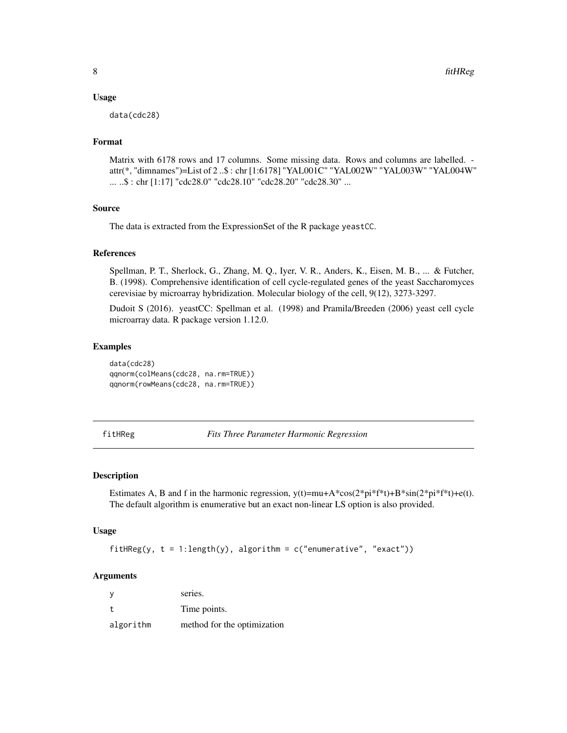#### <span id="page-7-0"></span>Usage

data(cdc28)

# Format

Matrix with 6178 rows and 17 columns. Some missing data. Rows and columns are labelled. attr(\*, "dimnames")=List of 2 ..\$ : chr [1:6178] "YAL001C" "YAL002W" "YAL003W" "YAL004W" ... ..\$ : chr [1:17] "cdc28.0" "cdc28.10" "cdc28.20" "cdc28.30" ...

#### Source

The data is extracted from the ExpressionSet of the R package yeastCC.

#### References

Spellman, P. T., Sherlock, G., Zhang, M. Q., Iyer, V. R., Anders, K., Eisen, M. B., ... & Futcher, B. (1998). Comprehensive identification of cell cycle-regulated genes of the yeast Saccharomyces cerevisiae by microarray hybridization. Molecular biology of the cell, 9(12), 3273-3297.

Dudoit S (2016). yeastCC: Spellman et al. (1998) and Pramila/Breeden (2006) yeast cell cycle microarray data. R package version 1.12.0.

#### Examples

data(cdc28) qqnorm(colMeans(cdc28, na.rm=TRUE)) qqnorm(rowMeans(cdc28, na.rm=TRUE))

<span id="page-7-1"></span>fitHReg *Fits Three Parameter Harmonic Regression*

#### Description

Estimates A, B and f in the harmonic regression,  $y(t)=mu+A*cos(2*pi*f*t)+B*sin(2*pi*f*t)+e(t)$ . The default algorithm is enumerative but an exact non-linear LS option is also provided.

#### Usage

fitHReg(y,  $t = 1$ : length(y), algorithm =  $c("enumerate", "exact")$ )

#### Arguments

| <b>V</b>  | series.                     |
|-----------|-----------------------------|
|           | Time points.                |
| algorithm | method for the optimization |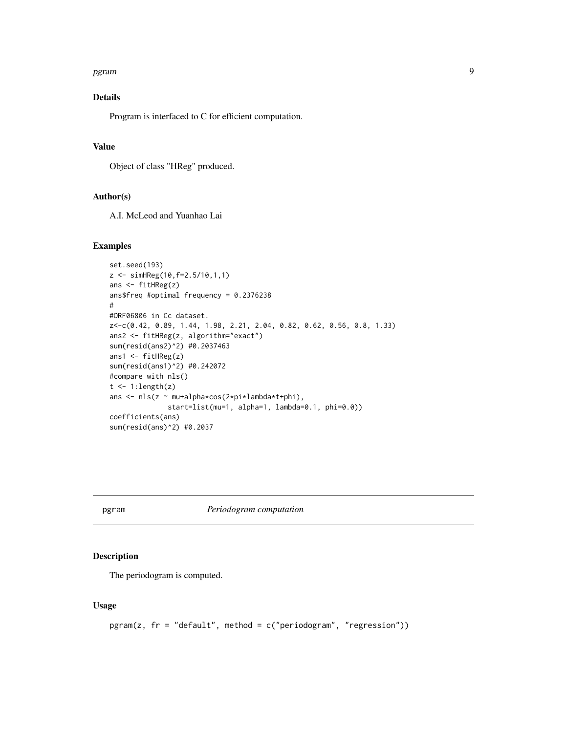#### <span id="page-8-0"></span>pgram 2008 and 2008 and 2008 and 2008 and 2008 and 2008 and 2008 and 2008 and 2008 and 2008 and 2008 and 2008

# Details

Program is interfaced to C for efficient computation.

# Value

Object of class "HReg" produced.

# Author(s)

A.I. McLeod and Yuanhao Lai

#### Examples

```
set.seed(193)
z <- simHReg(10,f=2.5/10,1,1)
ans <- fitHReg(z)
ans$freq #optimal frequency = 0.2376238
#
#ORF06806 in Cc dataset.
z<-c(0.42, 0.89, 1.44, 1.98, 2.21, 2.04, 0.82, 0.62, 0.56, 0.8, 1.33)
ans2 <- fitHReg(z, algorithm="exact")
sum(resid(ans2)^2) #0.2037463
ans1 <- fitHReg(z)
sum(resid(ans1)^2) #0.242072
#compare with nls()
t \leftarrow 1: length(z)
ans <- nls(z ~ mu+alpha*cos(2*pi*lambda*t+phi),
              start=list(mu=1, alpha=1, lambda=0.1, phi=0.0))
coefficients(ans)
sum(resid(ans)^2) #0.2037
```
pgram *Periodogram computation*

# Description

The periodogram is computed.

# Usage

```
pgram(z, fr = "default", method = c("periodogram", "regression"))
```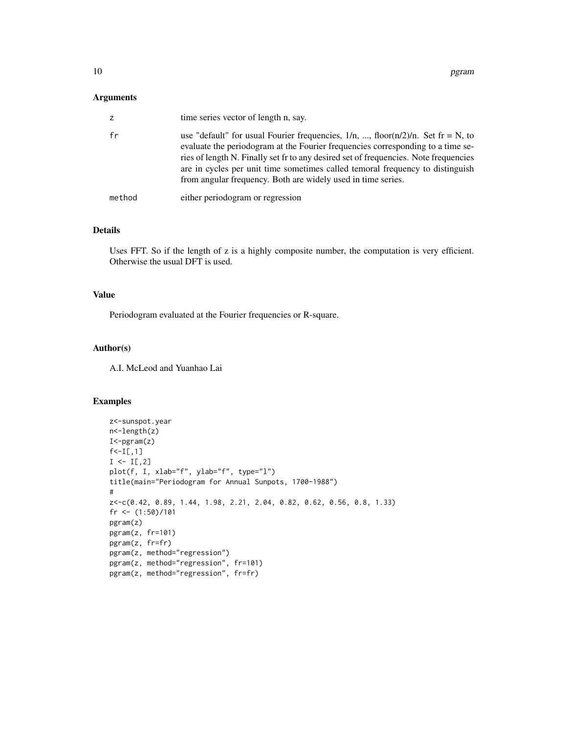# Arguments

| z      | time series vector of length n, say.                                                                                                                                                                                                                                                                                                                                                                                |
|--------|---------------------------------------------------------------------------------------------------------------------------------------------------------------------------------------------------------------------------------------------------------------------------------------------------------------------------------------------------------------------------------------------------------------------|
| fr     | use "default" for usual Fourier frequencies, $1/n$ , , floor( $n/2$ )/n. Set fr = N, to<br>evaluate the periodogram at the Fourier frequencies corresponding to a time se-<br>ries of length N. Finally set fr to any desired set of frequencies. Note frequencies<br>are in cycles per unit time sometimes called temoral frequency to distinguish<br>from angular frequency. Both are widely used in time series. |
| method | either periodogram or regression                                                                                                                                                                                                                                                                                                                                                                                    |

# Details

Uses FFT. So if the length of z is a highly composite number, the computation is very efficient. Otherwise the usual DFT is used.

# Value

Periodogram evaluated at the Fourier frequencies or R-square.

#### Author(s)

A.I. McLeod and Yuanhao Lai

```
z<-sunspot.year
n<-length(z)
I<-pgram(z)
f < -I[, 1]
I \leftarrow I[, 2]plot(f, I, xlab="f", ylab="f", type="l")
title(main="Periodogram for Annual Sunpots, 1700-1988")
#
z<-c(0.42, 0.89, 1.44, 1.98, 2.21, 2.04, 0.82, 0.62, 0.56, 0.8, 1.33)
fr \leftarrow (1:50)/101
pgram(z)
pgram(z, fr=101)
pgram(z, fr=fr)
pgram(z, method="regression")
pgram(z, method="regression", fr=101)
pgram(z, method="regression", fr=fr)
```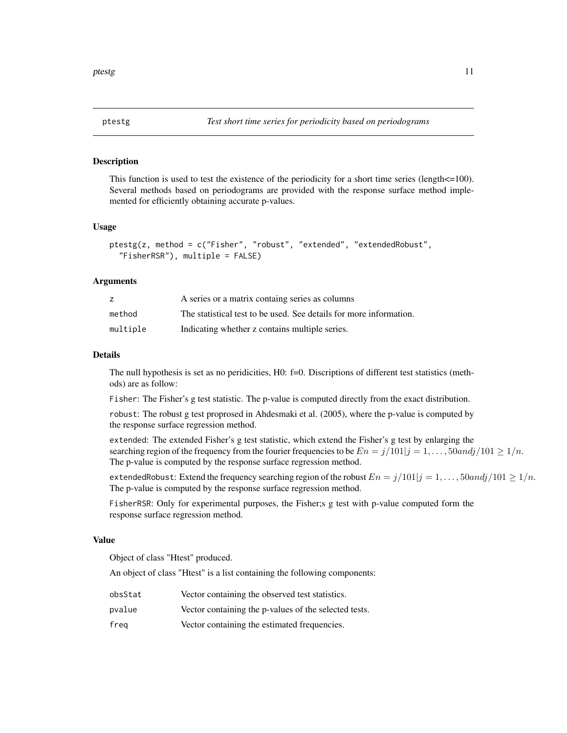<span id="page-10-1"></span><span id="page-10-0"></span>

This function is used to test the existence of the periodicity for a short time series (length $\leq$ =100). Several methods based on periodograms are provided with the response surface method implemented for efficiently obtaining accurate p-values.

#### Usage

```
ptestg(z, method = c("Fisher", "robust", "extended", "extendedRobust",
  "FisherRSR"), multiple = FALSE)
```
#### Arguments

|          | A series or a matrix containg series as columns                    |
|----------|--------------------------------------------------------------------|
| method   | The statistical test to be used. See details for more information. |
| multiple | Indicating whether z contains multiple series.                     |

# Details

The null hypothesis is set as no peridicities, H0: f=0. Discriptions of different test statistics (methods) are as follow:

Fisher: The Fisher's g test statistic. The p-value is computed directly from the exact distribution.

robust: The robust g test proprosed in Ahdesmaki et al. (2005), where the p-value is computed by the response surface regression method.

extended: The extended Fisher's g test statistic, which extend the Fisher's g test by enlarging the searching region of the frequency from the fourier frequencies to be  $En = j/101|j = 1, \ldots, 50$  and  $j/101 \ge 1/n$ . The p-value is computed by the response surface regression method.

extendedRobust: Extend the frequency searching region of the robust  $En = j/101|j = 1, \ldots, 50$  and  $j/101 \geq 1/n$ . The p-value is computed by the response surface regression method.

FisherRSR: Only for experimental purposes, the Fisher;s g test with p-value computed form the response surface regression method.

#### Value

Object of class "Htest" produced.

An object of class "Htest" is a list containing the following components:

- obsStat Vector containing the observed test statistics.
- pvalue Vector containing the p-values of the selected tests.
- freq Vector containing the estimated frequencies.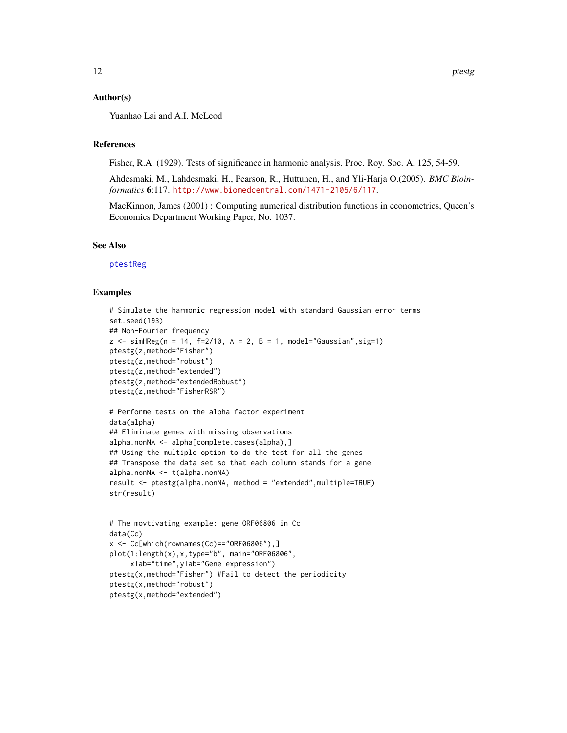#### <span id="page-11-0"></span>Author(s)

Yuanhao Lai and A.I. McLeod

#### References

Fisher, R.A. (1929). Tests of significance in harmonic analysis. Proc. Roy. Soc. A, 125, 54-59.

Ahdesmaki, M., Lahdesmaki, H., Pearson, R., Huttunen, H., and Yli-Harja O.(2005). *BMC Bioinformatics* 6:117. <http://www.biomedcentral.com/1471-2105/6/117>.

MacKinnon, James (2001) : Computing numerical distribution functions in econometrics, Queen's Economics Department Working Paper, No. 1037.

# See Also

[ptestReg](#page-12-1)

```
# Simulate the harmonic regression model with standard Gaussian error terms
set.seed(193)
## Non-Fourier frequency
z <- simHReg(n = 14, f=2/10, A = 2, B = 1, model="Gaussian", sig=1)
ptestg(z,method="Fisher")
ptestg(z,method="robust")
ptestg(z,method="extended")
ptestg(z,method="extendedRobust")
ptestg(z,method="FisherRSR")
# Performe tests on the alpha factor experiment
data(alpha)
## Eliminate genes with missing observations
alpha.nonNA <- alpha[complete.cases(alpha),]
## Using the multiple option to do the test for all the genes
## Transpose the data set so that each column stands for a gene
alpha.nonNA <- t(alpha.nonNA)
result <- ptestg(alpha.nonNA, method = "extended",multiple=TRUE)
str(result)
# The movtivating example: gene ORF06806 in Cc
data(Cc)
x <- Cc[which(rownames(Cc)=="ORF06806"),]
plot(1:length(x),x,type="b", main="ORF06806",
     xlab="time",ylab="Gene expression")
ptestg(x,method="Fisher") #Fail to detect the periodicity
ptestg(x,method="robust")
ptestg(x,method="extended")
```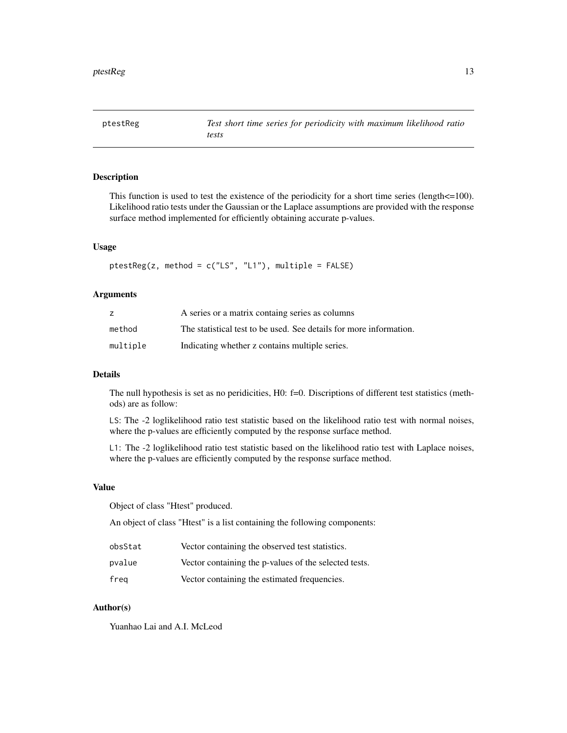<span id="page-12-1"></span><span id="page-12-0"></span>

This function is used to test the existence of the periodicity for a short time series (length $\leq$ =100). Likelihood ratio tests under the Gaussian or the Laplace assumptions are provided with the response surface method implemented for efficiently obtaining accurate p-values.

#### Usage

ptestReg(z, method = c("LS", "L1"), multiple = FALSE)

#### Arguments

|          | A series or a matrix containg series as columns                    |
|----------|--------------------------------------------------------------------|
| method   | The statistical test to be used. See details for more information. |
| multiple | Indicating whether z contains multiple series.                     |

#### Details

The null hypothesis is set as no peridicities, H0: f=0. Discriptions of different test statistics (methods) are as follow:

LS: The -2 loglikelihood ratio test statistic based on the likelihood ratio test with normal noises, where the p-values are efficiently computed by the response surface method.

L1: The -2 loglikelihood ratio test statistic based on the likelihood ratio test with Laplace noises, where the p-values are efficiently computed by the response surface method.

# Value

Object of class "Htest" produced.

An object of class "Htest" is a list containing the following components:

| obsStat | Vector containing the observed test statistics.       |
|---------|-------------------------------------------------------|
| pvalue  | Vector containing the p-values of the selected tests. |
| frea    | Vector containing the estimated frequencies.          |

# Author(s)

Yuanhao Lai and A.I. McLeod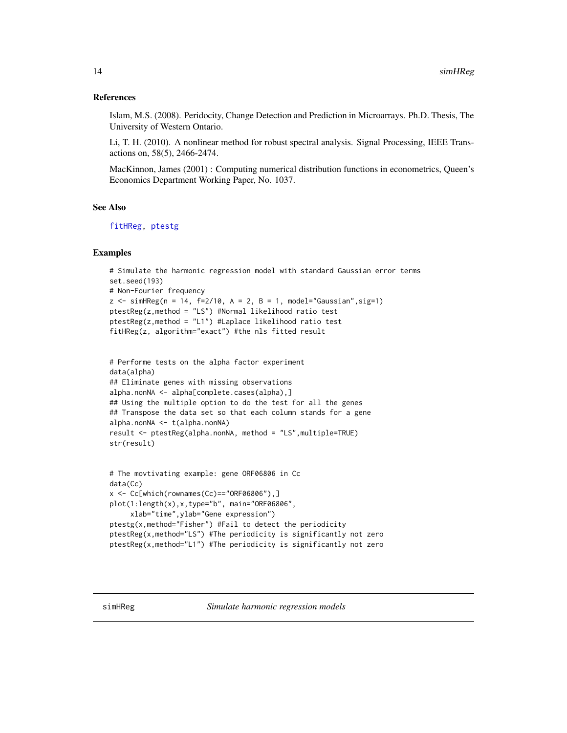#### <span id="page-13-0"></span>References

Islam, M.S. (2008). Peridocity, Change Detection and Prediction in Microarrays. Ph.D. Thesis, The University of Western Ontario.

Li, T. H. (2010). A nonlinear method for robust spectral analysis. Signal Processing, IEEE Transactions on, 58(5), 2466-2474.

MacKinnon, James (2001) : Computing numerical distribution functions in econometrics, Queen's Economics Department Working Paper, No. 1037.

#### See Also

[fitHReg,](#page-7-1) [ptestg](#page-10-1)

```
# Simulate the harmonic regression model with standard Gaussian error terms
set.seed(193)
# Non-Fourier frequency
z <- simHReg(n = 14, f=2/10, A = 2, B = 1, model="Gaussian", sig=1)
ptestReg(z,method = "LS") #Normal likelihood ratio test
ptestReg(z,method = "L1") #Laplace likelihood ratio test
fitHReg(z, algorithm="exact") #the nls fitted result
```

```
# Performe tests on the alpha factor experiment
data(alpha)
## Eliminate genes with missing observations
alpha.nonNA <- alpha[complete.cases(alpha),]
## Using the multiple option to do the test for all the genes
## Transpose the data set so that each column stands for a gene
alpha.nonNA <- t(alpha.nonNA)
result <- ptestReg(alpha.nonNA, method = "LS",multiple=TRUE)
str(result)
```

```
# The movtivating example: gene ORF06806 in Cc
data(Cc)
x \leq Cc[which(rownames(Cc)=="ORF06806"),]
plot(1:length(x),x,type="b", main="ORF06806",
     xlab="time",ylab="Gene expression")
ptestg(x,method="Fisher") #Fail to detect the periodicity
ptestReg(x,method="LS") #The periodicity is significantly not zero
ptestReg(x,method="L1") #The periodicity is significantly not zero
```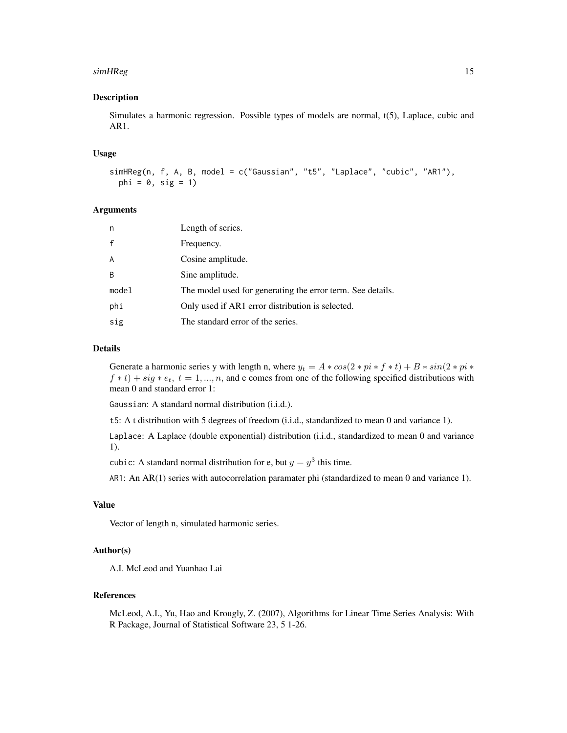#### simHReg 2012 and 2013 and 2014 and 2013 and 2014 and 2014 and 2014 and 2014 and 2014 and 2014 and 2014 and 201

#### Description

Simulates a harmonic regression. Possible types of models are normal, t(5), Laplace, cubic and AR1.

#### Usage

```
simHReg(n, f, A, B, model = c("Gaussian", "t5", "Laplace", "cubic", "AR1"),
 phi = 0, sig = 1)
```
#### **Arguments**

| n            | Length of series.                                          |
|--------------|------------------------------------------------------------|
| $\mathsf{f}$ | Frequency.                                                 |
| A            | Cosine amplitude.                                          |
| <sub>B</sub> | Sine amplitude.                                            |
| model        | The model used for generating the error term. See details. |
| phi          | Only used if AR1 error distribution is selected.           |
| sig          | The standard error of the series.                          |

#### Details

Generate a harmonic series y with length n, where  $y_t = A * cos(2 * pi * f * t) + B * sin(2 * pi * f * t)$  $f * t$ ) + sig  $* e_t$ ,  $t = 1, ..., n$ , and e comes from one of the following specified distributions with mean 0 and standard error 1:

Gaussian: A standard normal distribution (i.i.d.).

t5: A t distribution with 5 degrees of freedom (i.i.d., standardized to mean 0 and variance 1).

Laplace: A Laplace (double exponential) distribution (i.i.d., standardized to mean 0 and variance 1).

cubic: A standard normal distribution for e, but  $y = y^3$  this time.

AR1: An AR(1) series with autocorrelation paramater phi (standardized to mean 0 and variance 1).

#### Value

Vector of length n, simulated harmonic series.

# Author(s)

A.I. McLeod and Yuanhao Lai

## References

McLeod, A.I., Yu, Hao and Krougly, Z. (2007), Algorithms for Linear Time Series Analysis: With R Package, Journal of Statistical Software 23, 5 1-26.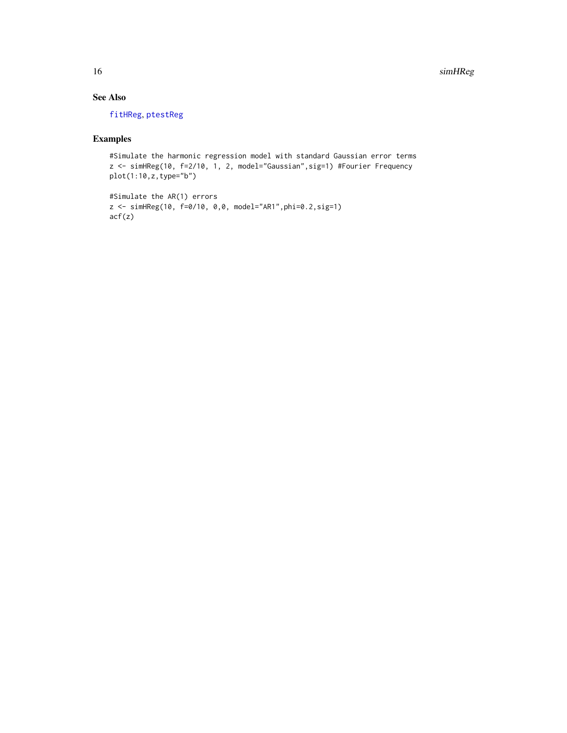<span id="page-15-0"></span>16 simHReg

# See Also

[fitHReg](#page-7-1), [ptestReg](#page-12-1)

# Examples

#Simulate the harmonic regression model with standard Gaussian error terms z <- simHReg(10, f=2/10, 1, 2, model="Gaussian",sig=1) #Fourier Frequency plot(1:10,z,type="b")

```
#Simulate the AR(1) errors
z <- simHReg(10, f=0/10, 0,0, model="AR1",phi=0.2,sig=1)
acf(z)
```